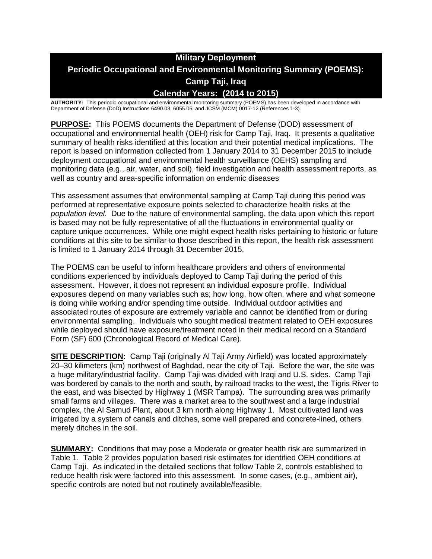# **Military Deployment Periodic Occupational and Environmental Monitoring Summary (POEMS): Camp Taji, Iraq Calendar Years: (2014 to 2015)**

**AUTHORITY:** This periodic occupational and environmental monitoring summary (POEMS) has been developed in accordance with Department of Defense (DoD) Instructions 6490.03, 6055.05, and JCSM (MCM) 0017-12 (References 1-3).

**PURPOSE:** This POEMS documents the Department of Defense (DOD) assessment of occupational and environmental health (OEH) risk for Camp Taji, Iraq. It presents a qualitative summary of health risks identified at this location and their potential medical implications. The report is based on information collected from 1 January 2014 to 31 December 2015 to include deployment occupational and environmental health surveillance (OEHS) sampling and monitoring data (e.g., air, water, and soil), field investigation and health assessment reports, as well as country and area-specific information on endemic diseases

This assessment assumes that environmental sampling at Camp Taji during this period was performed at representative exposure points selected to characterize health risks at the *population level*. Due to the nature of environmental sampling, the data upon which this report is based may not be fully representative of all the fluctuations in environmental quality or capture unique occurrences. While one might expect health risks pertaining to historic or future conditions at this site to be similar to those described in this report, the health risk assessment is limited to 1 January 2014 through 31 December 2015.

The POEMS can be useful to inform healthcare providers and others of environmental conditions experienced by individuals deployed to Camp Taji during the period of this assessment. However, it does not represent an individual exposure profile. Individual exposures depend on many variables such as; how long, how often, where and what someone is doing while working and/or spending time outside. Individual outdoor activities and associated routes of exposure are extremely variable and cannot be identified from or during environmental sampling. Individuals who sought medical treatment related to OEH exposures while deployed should have exposure/treatment noted in their medical record on a Standard Form (SF) 600 (Chronological Record of Medical Care).

**SITE DESCRIPTION:** Camp Taji (originally Al Taji Army Airfield) was located approximately 20–30 kilimeters (km) northwest of Baghdad, near the city of Taji. Before the war, the site was a huge military/industrial facility. Camp Taji was divided with Iraqi and U.S. sides. Camp Taji was bordered by canals to the north and south, by railroad tracks to the west, the Tigris River to the east, and was bisected by Highway 1 (MSR Tampa). The surrounding area was primarily small farms and villages. There was a market area to the southwest and a large industrial complex, the Al Samud Plant, about 3 km north along Highway 1. Most cultivated land was irrigated by a system of canals and ditches, some well prepared and concrete-lined, others merely ditches in the soil.

**SUMMARY:** Conditions that may pose a Moderate or greater health risk are summarized in Table 1. Table 2 provides population based risk estimates for identified OEH conditions at Camp Taji. As indicated in the detailed sections that follow Table 2, controls established to reduce health risk were factored into this assessment. In some cases, (e.g., ambient air), specific controls are noted but not routinely available/feasible.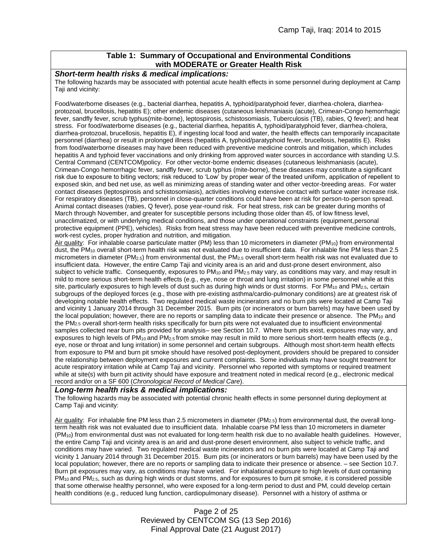### **Table 1: Summary of Occupational and Environmental Conditions with MODERATE or Greater Health Risk**

### *Short-term health risks & medical implications:*

The following hazards may be associated with potential acute health effects in some personnel during deployment at Camp Taji and vicinity:

Food/waterborne diseases (e.g., bacterial diarrhea, hepatitis A, typhoid/paratyphoid fever, diarrhea-cholera, diarrheaprotozoal, brucellosis, hepatitis E); other endemic diseases (cutaneous leishmaniasis (acute), Crimean-Congo hemorrhagic fever, sandfly fever, scrub typhus(mite-borne), leptospirosis, schistosomiasis, Tuberculosis (TB), rabies, Q fever); and heat stress. For food/waterborne diseases (e.g., bacterial diarrhea, hepatitis A, typhoid/paratyphoid fever, diarrhea-cholera, diarrhea-protozoal, brucellosis, hepatitis E), if ingesting local food and water, the health effects can temporarily incapacitate personnel (diarrhea) or result in prolonged illness (hepatitis A, typhoid/paratyphoid fever, brucellosis, hepatitis E). Risks from food/waterborne diseases may have been reduced with preventive medicine controls and mitigation, which includes hepatitis A and typhoid fever vaccinations and only drinking from approved water sources in accordance with standing U.S. Central Command (CENTCOM)policy. For other vector-borne endemic diseases (cutaneous leishmaniasis (acute), Crimean-Congo hemorrhagic fever, sandfly fever, scrub typhus (mite-borne), these diseases may constitute a significant risk due to exposure to biting vectors; risk reduced to 'Low' by proper wear of the treated uniform, application of repellent to exposed skin, and bed net use, as well as minimizing areas of standing water and other vector-breeding areas. For water contact diseases (leptospirosis and schistosomiasis), activities involving extensive contact with surface water increase risk. For respiratory diseases (TB), personnel in close-quarter conditions could have been at risk for person-to-person spread. Animal contact diseases (rabies, Q fever), pose year-round risk. For heat stress, risk can be greater during months of March through November, and greater for susceptible persons including those older than 45, of low fitness level, unacclimatized, or with underlying medical conditions, and those under operational constraints (equipment,personal protective equipment (PPE), vehicles). Risks from heat stress may have been reduced with preventive medicine controls, work-rest cycles, proper hydration and nutrition, and mitigation.

Air quality: For inhalable coarse particulate matter (PM) less than 10 micrometers in diameter (PM10) from environmental dust, the PM<sup>10</sup> overall short-term health risk was not evaluated due to insufficient data. For inhalable fine PM less than 2.5 micrometers in diameter (PM<sub>2.5</sub>) from environmental dust, the PM<sub>2.5</sub> overall short-term health risk was not evaluated due to insufficient data. However, the entire Camp Taji and vicinity area is an arid and dust-prone desert environment, also subject to vehicle traffic. Consequently, exposures to PM<sub>10</sub> and PM<sub>2.5</sub> may vary, as conditions may vary, and may result in mild to more serious short-term health effects (e.g., eye, nose or throat and lung irritation) in some personnel while at this site, particularly exposures to high levels of dust such as during high winds or dust storms. For PM<sub>10</sub> and PM<sub>2.5</sub>, certain subgroups of the deployed forces (e.g., those with pre-existing asthma/cardio-pulmonary conditions) are at greatest risk of developing notable health effects. Two regulated medical waste incinerators and no burn pits were located at Camp Taji and vicinity 1 January 2014 through 31 December 2015. Burn pits (or incinerators or burn barrels) may have been used by the local population; however, there are no reports or sampling data to indicate their presence or absence. The  $PM_{10}$  and the PM2.5 overall short-term health risks specifically for burn pits were not evaluated due to insufficient environmental samples collected near burn pits provided for analysis– see Section 10.7. Where burn pits exist, exposures may vary, and exposures to high levels of PM<sub>10</sub> and PM<sub>2.5</sub> from smoke may result in mild to more serious short-term health effects (e.g., eye, nose or throat and lung irritation) in some personnel and certain subgroups. Although most short-term health effects from exposure to PM and burn pit smoke should have resolved post-deployment, providers should be prepared to consider the relationship between deployment exposures and current complaints. Some individuals may have sought treatment for acute respiratory irritation while at Camp Taji and vicinity. Personnel who reported with symptoms or required treatment while at site(s) with burn pit activity should have exposure and treatment noted in medical record (e.g., electronic medical record and/or on a SF 600 (*Chronological Record of Medical Care*).

### *Long-term health risks & medical implications:*

The following hazards may be associated with potential chronic health effects in some personnel during deployment at Camp Taji and vicinity:

Air quality: For inhalable fine PM less than 2.5 micrometers in diameter ( $PM_{2.5}$ ) from environmental dust, the overall longterm health risk was not evaluated due to insufficient data. Inhalable coarse PM less than 10 micrometers in diameter (PM10) from environmental dust was not evaluated for long-term health risk due to no available health guidelines. However, the entire Camp Taji and vicinity area is an arid and dust-prone desert environment, also subject to vehicle traffic, and conditions may have varied. Two regulated medical waste incinerators and no burn pits were located at Camp Taji and vicinity 1 January 2014 through 31 December 2015. Burn pits (or incinerators or burn barrels) may have been used by the local population; however, there are no reports or sampling data to indicate their presence or absence. – see Section 10.7. Burn pit exposures may vary, as conditions may have varied. For inhalational exposure to high levels of dust containing  $PM_{10}$  and  $PM_{2.5}$ , such as during high winds or dust storms, and for exposures to burn pit smoke, it is considered possible that some otherwise healthy personnel, who were exposed for a long-term period to dust and PM, could develop certain health conditions (e.g., reduced lung function, cardiopulmonary disease). Personnel with a history of asthma or

> Page 2 of 25 Reviewed by CENTCOM SG (13 Sep 2016) Final Approval Date (21 August 2017)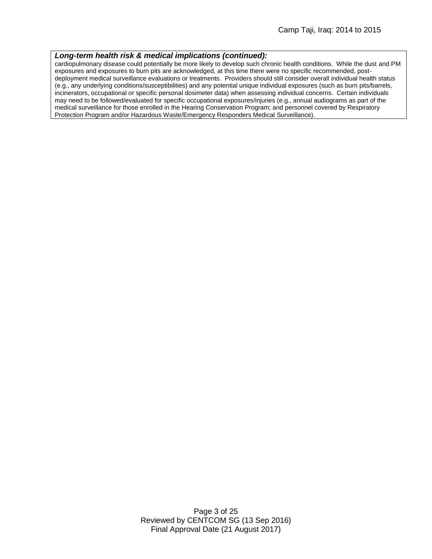#### *Long-term health risk & medical implications (continued):*

cardiopulmonary disease could potentially be more likely to develop such chronic health conditions. While the dust and PM exposures and exposures to burn pits are acknowledged, at this time there were no specific recommended, postdeployment medical surveillance evaluations or treatments. Providers should still consider overall individual health status (e.g., any underlying conditions/susceptibilities) and any potential unique individual exposures (such as burn pits/barrels, incinerators, occupational or specific personal dosimeter data) when assessing individual concerns. Certain individuals may need to be followed/evaluated for specific occupational exposures/injuries (e.g., annual audiograms as part of the medical surveillance for those enrolled in the Hearing Conservation Program; and personnel covered by Respiratory Protection Program and/or Hazardous Waste/Emergency Responders Medical Surveillance).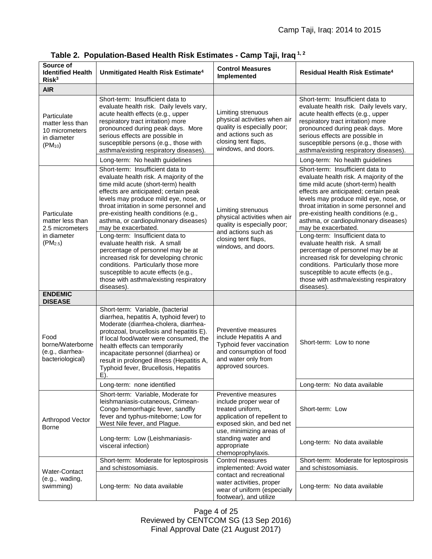| Source of<br><b>Identified Health</b><br>Risk <sup>3</sup>                        | Unmitigated Health Risk Estimate <sup>4</sup>                                                                                                                                                                                                                                                                                                                                      | <b>Control Measures</b><br>Implemented                                                                                                                 | <b>Residual Health Risk Estimate<sup>4</sup></b>                                                                                                                                                                                                                                                                                                        |
|-----------------------------------------------------------------------------------|------------------------------------------------------------------------------------------------------------------------------------------------------------------------------------------------------------------------------------------------------------------------------------------------------------------------------------------------------------------------------------|--------------------------------------------------------------------------------------------------------------------------------------------------------|---------------------------------------------------------------------------------------------------------------------------------------------------------------------------------------------------------------------------------------------------------------------------------------------------------------------------------------------------------|
| <b>AIR</b>                                                                        |                                                                                                                                                                                                                                                                                                                                                                                    |                                                                                                                                                        |                                                                                                                                                                                                                                                                                                                                                         |
| Particulate<br>matter less than<br>10 micrometers<br>in diameter<br>$(PM_{10})$   | Short-term: Insufficient data to<br>evaluate health risk. Daily levels vary,<br>acute health effects (e.g., upper<br>respiratory tract irritation) more<br>pronounced during peak days. More<br>serious effects are possible in<br>susceptible persons (e.g., those with<br>asthma/existing respiratory diseases).                                                                 | Limiting strenuous<br>physical activities when air<br>quality is especially poor;<br>and actions such as<br>closing tent flaps,<br>windows, and doors. | Short-term: Insufficient data to<br>evaluate health risk. Daily levels vary,<br>acute health effects (e.g., upper<br>respiratory tract irritation) more<br>pronounced during peak days. More<br>serious effects are possible in<br>susceptible persons (e.g., those with<br>asthma/existing respiratory diseases).                                      |
|                                                                                   | Long-term: No health guidelines                                                                                                                                                                                                                                                                                                                                                    |                                                                                                                                                        | Long-term: No health guidelines                                                                                                                                                                                                                                                                                                                         |
| Particulate<br>matter less than<br>2.5 micrometers<br>in diameter<br>$(PM_{2.5})$ | Short-term: Insufficient data to<br>evaluate health risk. A majority of the<br>time mild acute (short-term) health<br>effects are anticipated; certain peak<br>levels may produce mild eye, nose, or<br>throat irritation in some personnel and<br>pre-existing health conditions (e.g.,<br>asthma, or cardiopulmonary diseases)<br>may be exacerbated.                            | Limiting strenuous<br>physical activities when air<br>quality is especially poor;<br>and actions such as                                               | Short-term: Insufficient data to<br>evaluate health risk. A majority of the<br>time mild acute (short-term) health<br>effects are anticipated; certain peak<br>levels may produce mild eye, nose, or<br>throat irritation in some personnel and<br>pre-existing health conditions (e.g.,<br>asthma, or cardiopulmonary diseases)<br>may be exacerbated. |
|                                                                                   | Long-term: Insufficient data to<br>evaluate health risk. A small<br>percentage of personnel may be at<br>increased risk for developing chronic<br>conditions. Particularly those more<br>susceptible to acute effects (e.g.,<br>those with asthma/existing respiratory<br>diseases).                                                                                               | closing tent flaps,<br>windows, and doors.                                                                                                             | Long-term: Insufficient data to<br>evaluate health risk. A small<br>percentage of personnel may be at<br>increased risk for developing chronic<br>conditions. Particularly those more<br>susceptible to acute effects (e.g.,<br>those with asthma/existing respiratory<br>diseases).                                                                    |
| <b>ENDEMIC</b><br><b>DISEASE</b>                                                  |                                                                                                                                                                                                                                                                                                                                                                                    |                                                                                                                                                        |                                                                                                                                                                                                                                                                                                                                                         |
| Food<br>borne/Waterborne<br>(e.g., diarrhea-<br>bacteriological)                  | Short-term: Variable, (bacterial<br>diarrhea, hepatitis A, typhoid fever) to<br>Moderate (diarrhea-cholera, diarrhea-<br>protozoal, brucellosis and hepatitis E).<br>If local food/water were consumed, the<br>health effects can temporarily<br>incapacitate personnel (diarrhea) or<br>result in prolonged illness (Hepatitis A,<br>Typhoid fever, Brucellosis, Hepatitis<br>E). | Preventive measures<br>include Hepatitis A and<br>Typhoid fever vaccination<br>and consumption of food<br>and water only from<br>approved sources.     | Short-term: Low to none                                                                                                                                                                                                                                                                                                                                 |
|                                                                                   | Long-term: none identified                                                                                                                                                                                                                                                                                                                                                         |                                                                                                                                                        | Long-term: No data available                                                                                                                                                                                                                                                                                                                            |
| Arthropod Vector<br>Borne                                                         | Short-term: Variable, Moderate for<br>leishmaniasis-cutaneous, Crimean-<br>Congo hemorrhagic fever, sandfly<br>fever and typhus-miteborne; Low for<br>West Nile fever, and Plague.                                                                                                                                                                                                 | Preventive measures<br>include proper wear of<br>treated uniform,<br>application of repellent to<br>exposed skin, and bed net                          | Short-term: Low                                                                                                                                                                                                                                                                                                                                         |
|                                                                                   | Long-term: Low (Leishmaniasis-<br>visceral infection)                                                                                                                                                                                                                                                                                                                              | use, minimizing areas of<br>standing water and<br>appropriate<br>chemoprophylaxis.                                                                     | Long-term: No data available                                                                                                                                                                                                                                                                                                                            |
|                                                                                   | Short-term: Moderate for leptospirosis<br>and schistosomiasis.                                                                                                                                                                                                                                                                                                                     | Control measures<br>implemented: Avoid water                                                                                                           | Short-term: Moderate for leptospirosis<br>and schistosomiasis.                                                                                                                                                                                                                                                                                          |
| Water-Contact<br>(e.g., wading,<br>swimming)                                      | Long-term: No data available                                                                                                                                                                                                                                                                                                                                                       | contact and recreational<br>water activities, proper<br>wear of uniform (especially<br>footwear), and utilize                                          | Long-term: No data available                                                                                                                                                                                                                                                                                                                            |

**Table 2. Population-Based Health Risk Estimates - Camp Taji, Iraq 1, 2**

Page 4 of 25 Reviewed by CENTCOM SG (13 Sep 2016) Final Approval Date (21 August 2017)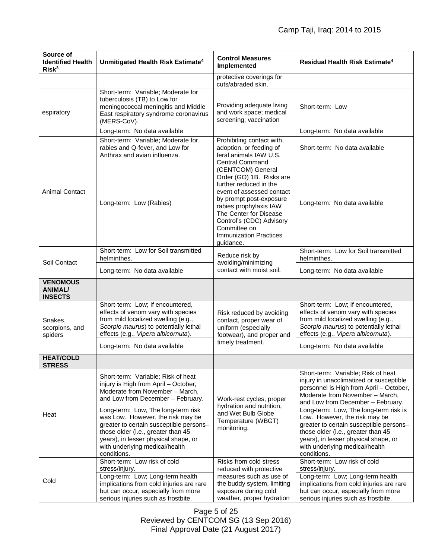| Source of<br><b>Identified Health</b><br>Risk <sup>3</sup> | Unmitigated Health Risk Estimate <sup>4</sup>                                                                                                                                                                                 | <b>Control Measures</b><br>Implemented                                                                                                                                                                                                                                                                  | Residual Health Risk Estimate <sup>4</sup>                                                                                                                                                                                                                                 |
|------------------------------------------------------------|-------------------------------------------------------------------------------------------------------------------------------------------------------------------------------------------------------------------------------|---------------------------------------------------------------------------------------------------------------------------------------------------------------------------------------------------------------------------------------------------------------------------------------------------------|----------------------------------------------------------------------------------------------------------------------------------------------------------------------------------------------------------------------------------------------------------------------------|
|                                                            |                                                                                                                                                                                                                               | protective coverings for<br>cuts/abraded skin.                                                                                                                                                                                                                                                          |                                                                                                                                                                                                                                                                            |
| espiratory                                                 | Short-term: Variable; Moderate for<br>tuberculosis (TB) to Low for<br>meningococcal meningitis and Middle<br>East respiratory syndrome coronavirus<br>(MERS-CoV).                                                             | Providing adequate living<br>and work space; medical<br>screening; vaccination                                                                                                                                                                                                                          | Short-term: Low                                                                                                                                                                                                                                                            |
|                                                            | Long-term: No data available                                                                                                                                                                                                  |                                                                                                                                                                                                                                                                                                         | Long-term: No data available                                                                                                                                                                                                                                               |
| <b>Animal Contact</b>                                      | Short-term: Variable; Moderate for<br>rabies and Q-fever, and Low for<br>Anthrax and avian influenza.                                                                                                                         | Prohibiting contact with,<br>adoption, or feeding of<br>feral animals IAW U.S.                                                                                                                                                                                                                          | Short-term: No data available                                                                                                                                                                                                                                              |
|                                                            | Long-term: Low (Rabies)                                                                                                                                                                                                       | <b>Central Command</b><br>(CENTCOM) General<br>Order (GO) 1B. Risks are<br>further reduced in the<br>event of assessed contact<br>by prompt post-exposure<br>rabies prophylaxis IAW<br>The Center for Disease<br>Control's (CDC) Advisory<br>Committee on<br><b>Immunization Practices</b><br>guidance. | Long-term: No data available                                                                                                                                                                                                                                               |
| Soil Contact                                               | Short-term: Low for Soil transmitted<br>helminthes.                                                                                                                                                                           | Reduce risk by<br>avoiding/minimizing                                                                                                                                                                                                                                                                   | Short-term: Low for Soil transmitted<br>helminthes.                                                                                                                                                                                                                        |
|                                                            | Long-term: No data available                                                                                                                                                                                                  | contact with moist soil.                                                                                                                                                                                                                                                                                | Long-term: No data available                                                                                                                                                                                                                                               |
| <b>VENOMOUS</b><br><b>ANIMAL/</b><br><b>INSECTS</b>        |                                                                                                                                                                                                                               |                                                                                                                                                                                                                                                                                                         |                                                                                                                                                                                                                                                                            |
| Snakes,<br>scorpions, and<br>spiders                       | Short-term: Low; If encountered,<br>effects of venom vary with species<br>from mild localized swelling (e.g.,<br>Scorpio maurus) to potentially lethal<br>effects (e.g., Vipera albicornuta).                                 | Risk reduced by avoiding<br>contact, proper wear of<br>uniform (especially<br>footwear), and proper and                                                                                                                                                                                                 | Short-term: Low; If encountered,<br>effects of venom vary with species<br>from mild localized swelling (e.g.,<br>Scorpio maurus) to potentially lethal<br>effects (e.g., Vipera albicornuta).                                                                              |
|                                                            | Long-term: No data available                                                                                                                                                                                                  | timely treatment.                                                                                                                                                                                                                                                                                       | Long-term: No data available                                                                                                                                                                                                                                               |
| <b>HEAT/COLD</b><br><b>STRESS</b>                          |                                                                                                                                                                                                                               |                                                                                                                                                                                                                                                                                                         |                                                                                                                                                                                                                                                                            |
| Heat                                                       | Short-term: Variable; Risk of heat<br>injury is High from April - October,<br>Moderate from November - March,<br>and Low from December - February.<br>Long-term: Low, The long-term risk<br>was Low. However, the risk may be | Work-rest cycles, proper<br>hydration and nutrition,<br>and Wet Bulb Globe                                                                                                                                                                                                                              | Short-term: Variable; Risk of heat<br>injury in unacclimatized or susceptible<br>personnel is High from April - October,<br>Moderate from November - March,<br>and Low from December - February.<br>Long-term: Low, The long-term risk is<br>Low. However, the risk may be |
|                                                            | greater to certain susceptible persons-<br>those older (i.e., greater than 45<br>years), in lesser physical shape, or<br>with underlying medical/health<br>conditions.                                                        | Temperature (WBGT)<br>monitoring.                                                                                                                                                                                                                                                                       | greater to certain susceptible persons-<br>those older (i.e., greater than 45<br>years), in lesser physical shape, or<br>with underlying medical/health<br>conditions.                                                                                                     |
|                                                            | Short-term: Low risk of cold<br>stress/injury.                                                                                                                                                                                | Risks from cold stress<br>reduced with protective                                                                                                                                                                                                                                                       | Short-term: Low risk of cold<br>stress/injury.                                                                                                                                                                                                                             |
| Cold                                                       | Long-term: Low; Long-term health<br>implications from cold injuries are rare<br>but can occur, especially from more<br>serious injuries such as frostbite.                                                                    | measures such as use of<br>the buddy system, limiting<br>exposure during cold<br>weather, proper hydration                                                                                                                                                                                              | Long-term: Low; Long-term health<br>implications from cold injuries are rare<br>but can occur, especially from more<br>serious injuries such as frostbite.                                                                                                                 |

Page 5 of 25 Reviewed by CENTCOM SG (13 Sep 2016) Final Approval Date (21 August 2017)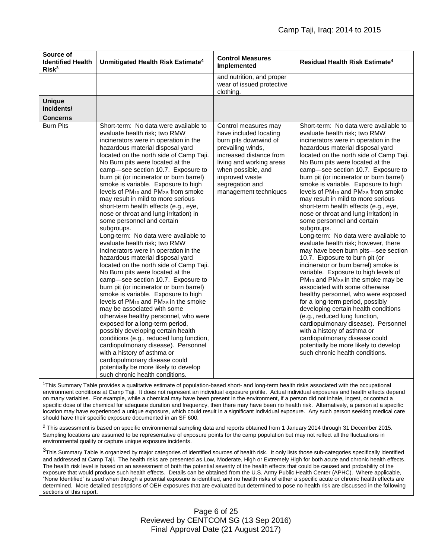| Source of<br><b>Identified Health</b><br>Risk <sup>3</sup> | Unmitigated Health Risk Estimate <sup>4</sup>                                                                                                                                                                                                                                                                                                                                                                                                                                                                                                                                                                                                                                                                                                                       | <b>Control Measures</b><br>Implemented                                                                                                                                                                          | <b>Residual Health Risk Estimate<sup>4</sup></b>                                                                                                                                                                                                                                                                                                                                                                                                                                                                                                                                                                                     |
|------------------------------------------------------------|---------------------------------------------------------------------------------------------------------------------------------------------------------------------------------------------------------------------------------------------------------------------------------------------------------------------------------------------------------------------------------------------------------------------------------------------------------------------------------------------------------------------------------------------------------------------------------------------------------------------------------------------------------------------------------------------------------------------------------------------------------------------|-----------------------------------------------------------------------------------------------------------------------------------------------------------------------------------------------------------------|--------------------------------------------------------------------------------------------------------------------------------------------------------------------------------------------------------------------------------------------------------------------------------------------------------------------------------------------------------------------------------------------------------------------------------------------------------------------------------------------------------------------------------------------------------------------------------------------------------------------------------------|
|                                                            |                                                                                                                                                                                                                                                                                                                                                                                                                                                                                                                                                                                                                                                                                                                                                                     | and nutrition, and proper<br>wear of issued protective<br>clothing.                                                                                                                                             |                                                                                                                                                                                                                                                                                                                                                                                                                                                                                                                                                                                                                                      |
| <b>Unique</b><br>Incidents/<br><b>Concerns</b>             |                                                                                                                                                                                                                                                                                                                                                                                                                                                                                                                                                                                                                                                                                                                                                                     |                                                                                                                                                                                                                 |                                                                                                                                                                                                                                                                                                                                                                                                                                                                                                                                                                                                                                      |
|                                                            | evaluate health risk; two RMW<br>incinerators were in operation in the<br>hazardous material disposal yard<br>located on the north side of Camp Taji.<br>No Burn pits were located at the<br>camp-see section 10.7. Exposure to<br>burn pit (or incinerator or burn barrel)<br>smoke is variable. Exposure to high<br>levels of PM <sub>10</sub> and PM <sub>2.5</sub> from smoke<br>may result in mild to more serious<br>short-term health effects (e.g., eye,<br>nose or throat and lung irritation) in<br>some personnel and certain<br>subgroups.<br>Long-term: No data were available to                                                                                                                                                                      | have included locating<br>burn pits downwind of<br>prevailing winds,<br>increased distance from<br>living and working areas<br>when possible, and<br>improved waste<br>segregation and<br>management techniques | evaluate health risk; two RMW<br>incinerators were in operation in the<br>hazardous material disposal yard<br>located on the north side of Camp Taji.<br>No Burn pits were located at the<br>camp-see section 10.7. Exposure to<br>burn pit (or incinerator or burn barrel)<br>smoke is variable. Exposure to high<br>levels of PM <sub>10</sub> and PM <sub>2.5</sub> from smoke<br>may result in mild to more serious<br>short-term health effects (e.g., eye,<br>nose or throat and lung irritation) in<br>some personnel and certain<br>subgroups.<br>Long-term: No data were available to                                       |
|                                                            | evaluate health risk; two RMW<br>incinerators were in operation in the<br>hazardous material disposal yard<br>located on the north side of Camp Taji.<br>No Burn pits were located at the<br>camp-see section 10.7. Exposure to<br>burn pit (or incinerator or burn barrel)<br>smoke is variable. Exposure to high<br>levels of PM <sub>10</sub> and PM <sub>2.5</sub> in the smoke<br>may be associated with some<br>otherwise healthy personnel, who were<br>exposed for a long-term period,<br>possibly developing certain health<br>conditions (e.g., reduced lung function,<br>cardiopulmonary disease). Personnel<br>with a history of asthma or<br>cardiopulmonary disease could<br>potentially be more likely to develop<br>such chronic health conditions. |                                                                                                                                                                                                                 | evaluate health risk; however, there<br>may have been burn pits-see section<br>10.7. Exposure to burn pit (or<br>incinerator or burn barrel) smoke is<br>variable. Exposure to high levels of<br>PM <sub>10</sub> and PM <sub>2.5</sub> in the smoke may be<br>associated with some otherwise<br>healthy personnel, who were exposed<br>for a long-term period, possibly<br>developing certain health conditions<br>(e.g., reduced lung function,<br>cardiopulmonary disease). Personnel<br>with a history of asthma or<br>cardiopulmonary disease could<br>potentially be more likely to develop<br>such chronic health conditions. |

<sup>1</sup>This Summary Table provides a qualitative estimate of population-based short- and long-term health risks associated with the occupational environment conditions at Camp Taji. It does not represent an individual exposure profile. Actual individual exposures and health effects depend on many variables. For example, while a chemical may have been present in the environment, if a person did not inhale, ingest, or contact a specific dose of the chemical for adequate duration and frequency, then there may have been no health risk. Alternatively, a person at a specific location may have experienced a unique exposure, which could result in a significant individual exposure. Any such person seeking medical care should have their specific exposure documented in an SF 600.

<sup>2</sup> This assessment is based on specific environmental sampling data and reports obtained from 1 January 2014 through 31 December 2015. Sampling locations are assumed to be representative of exposure points for the camp population but may not reflect all the fluctuations in environmental quality or capture unique exposure incidents.

<sup>3</sup>This Summary Table is organized by major categories of identified sources of health risk. It only lists those sub-categories specifically identified and addressed at Camp Taji. The health risks are presented as Low, Moderate, High or Extremely High for both acute and chronic health effects. The health risk level is based on an assessment of both the potential severity of the health effects that could be caused and probability of the exposure that would produce such health effects. Details can be obtained from the U.S. Army Public Health Center (APHC). Where applicable, "None Identified" is used when though a potential exposure is identified, and no health risks of either a specific acute or chronic health effects are determined. More detailed descriptions of OEH exposures that are evaluated but determined to pose no health risk are discussed in the following sections of this report.

> Page 6 of 25 Reviewed by CENTCOM SG (13 Sep 2016) Final Approval Date (21 August 2017)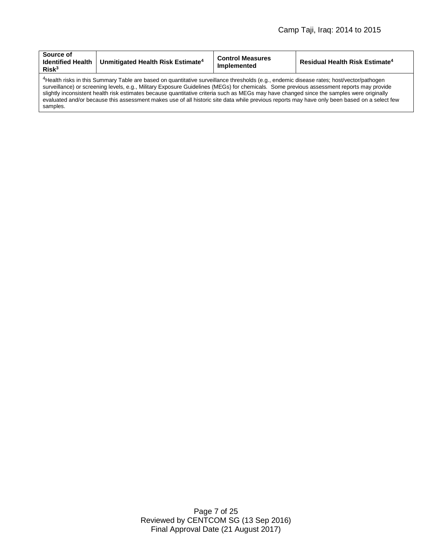| Source of<br><b>Identified Health</b><br>Risk <sup>3</sup> | Unmitigated Health Risk Estimate <sup>4</sup>                                                                                                                                                                                                                                                                                                                                                                                                                                                                                                                                                 | <b>Control Measures</b><br>Implemented | Residual Health Risk Estimate <sup>4</sup> |
|------------------------------------------------------------|-----------------------------------------------------------------------------------------------------------------------------------------------------------------------------------------------------------------------------------------------------------------------------------------------------------------------------------------------------------------------------------------------------------------------------------------------------------------------------------------------------------------------------------------------------------------------------------------------|----------------------------------------|--------------------------------------------|
| samples.                                                   | <sup>4</sup> Health risks in this Summary Table are based on quantitative surveillance thresholds (e.g., endemic disease rates; host/vector/pathogen<br>surveillance) or screening levels, e.g., Military Exposure Guidelines (MEGs) for chemicals. Some previous assessment reports may provide<br>slightly inconsistent health risk estimates because quantitative criteria such as MEGs may have changed since the samples were originally<br>evaluated and/or because this assessment makes use of all historic site data while previous reports may have only been based on a select few |                                        |                                            |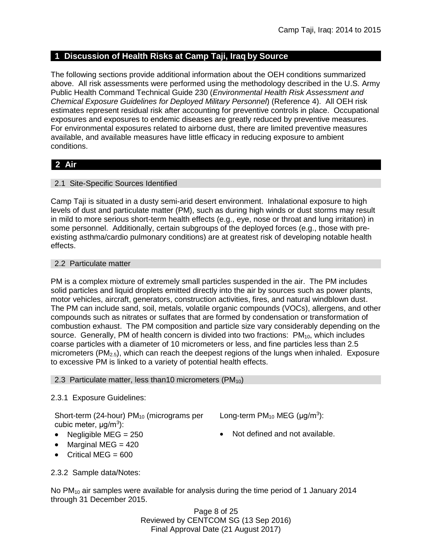## **1 Discussion of Health Risks at Camp Taji, Iraq by Source**

The following sections provide additional information about the OEH conditions summarized above. All risk assessments were performed using the methodology described in the U.S. Army Public Health Command Technical Guide 230 (*Environmental Health Risk Assessment and Chemical Exposure Guidelines for Deployed Military Personnel*) (Reference 4). All OEH risk estimates represent residual risk after accounting for preventive controls in place. Occupational exposures and exposures to endemic diseases are greatly reduced by preventive measures. For environmental exposures related to airborne dust, there are limited preventive measures available, and available measures have little efficacy in reducing exposure to ambient conditions.

# **2 Air**

## 2.1 Site-Specific Sources Identified

Camp Taji is situated in a dusty semi-arid desert environment. Inhalational exposure to high levels of dust and particulate matter (PM), such as during high winds or dust storms may result in mild to more serious short-term health effects (e.g., eye, nose or throat and lung irritation) in some personnel. Additionally, certain subgroups of the deployed forces (e.g., those with preexisting asthma/cardio pulmonary conditions) are at greatest risk of developing notable health effects.

### 2.2 Particulate matter

PM is a complex mixture of extremely small particles suspended in the air. The PM includes solid particles and liquid droplets emitted directly into the air by sources such as power plants, motor vehicles, aircraft, generators, construction activities, fires, and natural windblown dust. The PM can include sand, soil, metals, volatile organic compounds (VOCs), allergens, and other compounds such as nitrates or sulfates that are formed by condensation or transformation of combustion exhaust. The PM composition and particle size vary considerably depending on the source. Generally, PM of health concern is divided into two fractions:  $PM_{10}$ , which includes coarse particles with a diameter of 10 micrometers or less, and fine particles less than 2.5 micrometers ( $PM_{2.5}$ ), which can reach the deepest regions of the lungs when inhaled. Exposure to excessive PM is linked to a variety of potential health effects.

### 2.3 Particulate matter, less than 10 micrometers (PM $_{10}$ )

### 2.3.1 Exposure Guidelines:

Short-term (24-hour)  $PM_{10}$  (micrograms per Long-term  $PM_{10}$  MEG ( $\mu$ g/m<sup>3</sup>): cubic meter, μg/m<sup>3</sup>):

- 
- $\bullet$  Marginal MEG = 420
- $\bullet$  Critical MEG = 600

• Negligible MEG =  $250$   $\bullet$  Not defined and not available.

2.3.2 Sample data/Notes:

No  $PM_{10}$  air samples were available for analysis during the time period of 1 January 2014 through 31 December 2015.

> Page 8 of 25 Reviewed by CENTCOM SG (13 Sep 2016) Final Approval Date (21 August 2017)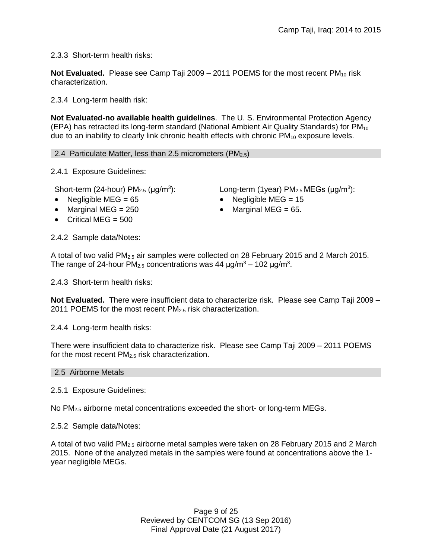2.3.3 Short-term health risks:

**Not Evaluated.** Please see Camp Taji 2009 – 2011 POEMS for the most recent PM<sub>10</sub> risk characterization.

2.3.4 Long-term health risk:

**Not Evaluated-no available health guidelines**. The U. S. Environmental Protection Agency (EPA) has retracted its long-term standard (National Ambient Air Quality Standards) for  $PM_{10}$ due to an inability to clearly link chronic health effects with chronic  $PM_{10}$  exposure levels.

2.4 Particulate Matter, less than 2.5 micrometers (PM $_{2.5}$ )

2.4.1 Exposure Guidelines:

Short-term (24-hour)  $PM<sub>2.5</sub>$  ( $\mu$ g/m<sup>3</sup>):

- 
- Marginal MEG =  $250$  Marginal MEG =  $65$ .
- Critical MEG  $= 500$

): Long-term (1year)  $PM_{2.5}$  MEGs ( $\mu$ g/m<sup>3</sup>):

- Negligible MEG =  $65$  Negligible MEG =  $15$ 
	-

2.4.2 Sample data/Notes:

A total of two valid PM2.5 air samples were collected on 28 February 2015 and 2 March 2015. The range of 24-hour PM<sub>2.5</sub> concentrations was 44  $\mu$ g/m<sup>3</sup> – 102  $\mu$ g/m<sup>3</sup>.

2.4.3 Short-term health risks:

**Not Evaluated.** There were insufficient data to characterize risk. Please see Camp Taji 2009 – 2011 POEMS for the most recent  $PM<sub>2.5</sub>$  risk characterization.

2.4.4 Long-term health risks:

There were insufficient data to characterize risk. Please see Camp Taji 2009 – 2011 POEMS for the most recent  $PM<sub>2.5</sub>$  risk characterization.

2.5 Airborne Metals

2.5.1 Exposure Guidelines:

No  $PM_{2.5}$  airborne metal concentrations exceeded the short- or long-term MEGs.

2.5.2 Sample data/Notes:

A total of two valid  $PM<sub>2.5</sub>$  airborne metal samples were taken on 28 February 2015 and 2 March 2015. None of the analyzed metals in the samples were found at concentrations above the 1 year negligible MEGs.

> Page 9 of 25 Reviewed by CENTCOM SG (13 Sep 2016) Final Approval Date (21 August 2017)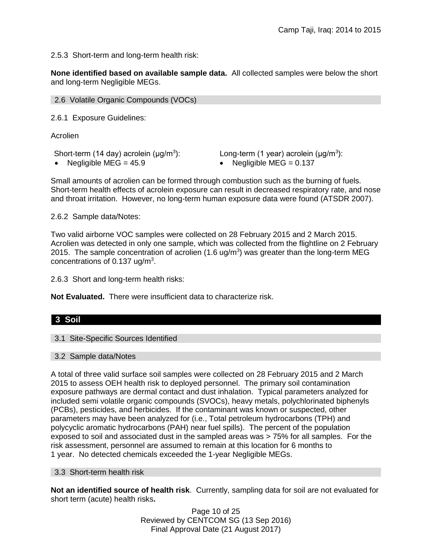2.5.3 Short-term and long-term health risk:

**None identified based on available sample data.** All collected samples were below the short and long-term Negligible MEGs.

|  |  |  | 2.6 Volatile Organic Compounds (VOCs) |  |  |
|--|--|--|---------------------------------------|--|--|
|--|--|--|---------------------------------------|--|--|

2.6.1 Exposure Guidelines:

Acrolien

Short-term (14 day) acrolein ( $\mu$ g/m<sup>3</sup>):

 $\text{Long-term (1 year)}$  acrolein ( $\mu$ g/m<sup>3</sup>):

• Negligible MEG =  $45.9$  • Negligible MEG =  $0.137$ 

Small amounts of acrolien can be formed through combustion such as the burning of fuels. Short-term health effects of acrolein exposure can result in decreased respiratory rate, and nose and throat irritation. However, no long-term human exposure data were found (ATSDR 2007).

2.6.2 Sample data/Notes:

Two valid airborne VOC samples were collected on 28 February 2015 and 2 March 2015. Acrolien was detected in only one sample, which was collected from the flightline on 2 February 2015. The sample concentration of acrolien  $(1.6 \text{ ug/m}^3)$  was greater than the long-term MEG concentrations of  $0.137$  ug/m<sup>3</sup>.

2.6.3 Short and long-term health risks:

**Not Evaluated.** There were insufficient data to characterize risk.

# **3 Soil**

### 3.1 Site-Specific Sources Identified

### 3.2 Sample data/Notes

A total of three valid surface soil samples were collected on 28 February 2015 and 2 March 2015 to assess OEH health risk to deployed personnel. The primary soil contamination exposure pathways are dermal contact and dust inhalation. Typical parameters analyzed for included semi volatile organic compounds (SVOCs), heavy metals, polychlorinated biphenyls (PCBs), pesticides, and herbicides. If the contaminant was known or suspected, other parameters may have been analyzed for (i.e., Total petroleum hydrocarbons (TPH) and polycyclic aromatic hydrocarbons (PAH) near fuel spills). The percent of the population exposed to soil and associated dust in the sampled areas was > 75% for all samples. For the risk assessment, personnel are assumed to remain at this location for 6 months to 1 year. No detected chemicals exceeded the 1-year Negligible MEGs.

### 3.3 Short-term health risk

**Not an identified source of health risk**. Currently, sampling data for soil are not evaluated for short term (acute) health risks**.**

> Page 10 of 25 Reviewed by CENTCOM SG (13 Sep 2016) Final Approval Date (21 August 2017)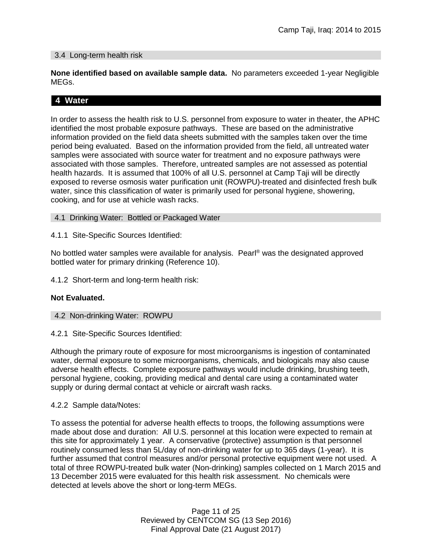### 3.4 Long-term health risk

**None identified based on available sample data.** No parameters exceeded 1-year Negligible MEGs.

# **4 Water**

In order to assess the health risk to U.S. personnel from exposure to water in theater, the APHC identified the most probable exposure pathways. These are based on the administrative information provided on the field data sheets submitted with the samples taken over the time period being evaluated. Based on the information provided from the field, all untreated water samples were associated with source water for treatment and no exposure pathways were associated with those samples. Therefore, untreated samples are not assessed as potential health hazards. It is assumed that 100% of all U.S. personnel at Camp Taji will be directly exposed to reverse osmosis water purification unit (ROWPU)-treated and disinfected fresh bulk water, since this classification of water is primarily used for personal hygiene, showering, cooking, and for use at vehicle wash racks.

### 4.1 Drinking Water: Bottled or Packaged Water

4.1.1 Site-Specific Sources Identified:

No bottled water samples were available for analysis. Pearl® was the designated approved bottled water for primary drinking (Reference 10).

4.1.2 Short-term and long-term health risk:

### **Not Evaluated.**

- 4.2 Non-drinking Water: ROWPU
- 4.2.1 Site-Specific Sources Identified:

Although the primary route of exposure for most microorganisms is ingestion of contaminated water, dermal exposure to some microorganisms, chemicals, and biologicals may also cause adverse health effects. Complete exposure pathways would include drinking, brushing teeth, personal hygiene, cooking, providing medical and dental care using a contaminated water supply or during dermal contact at vehicle or aircraft wash racks.

### 4.2.2 Sample data/Notes:

To assess the potential for adverse health effects to troops, the following assumptions were made about dose and duration: All U.S. personnel at this location were expected to remain at this site for approximately 1 year. A conservative (protective) assumption is that personnel routinely consumed less than 5L/day of non-drinking water for up to 365 days (1-year). It is further assumed that control measures and/or personal protective equipment were not used. A total of three ROWPU-treated bulk water (Non-drinking) samples collected on 1 March 2015 and 13 December 2015 were evaluated for this health risk assessment. No chemicals were detected at levels above the short or long-term MEGs.

> Page 11 of 25 Reviewed by CENTCOM SG (13 Sep 2016) Final Approval Date (21 August 2017)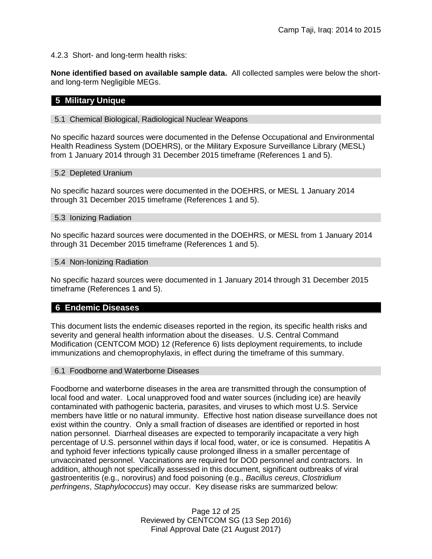4.2.3 Short- and long-term health risks:

**None identified based on available sample data.** All collected samples were below the shortand long-term Negligible MEGs.

# **5 Military Unique**

### 5.1 Chemical Biological, Radiological Nuclear Weapons

No specific hazard sources were documented in the Defense Occupational and Environmental Health Readiness System (DOEHRS), or the Military Exposure Surveillance Library (MESL) from 1 January 2014 through 31 December 2015 timeframe (References 1 and 5).

### 5.2 Depleted Uranium

No specific hazard sources were documented in the DOEHRS, or MESL 1 January 2014 through 31 December 2015 timeframe (References 1 and 5).

### 5.3 Ionizing Radiation

No specific hazard sources were documented in the DOEHRS, or MESL from 1 January 2014 through 31 December 2015 timeframe (References 1 and 5).

### 5.4 Non-Ionizing Radiation

No specific hazard sources were documented in 1 January 2014 through 31 December 2015 timeframe (References 1 and 5).

# **6 Endemic Diseases**

This document lists the endemic diseases reported in the region, its specific health risks and severity and general health information about the diseases. U.S. Central Command Modification (CENTCOM MOD) 12 (Reference 6) lists deployment requirements, to include immunizations and chemoprophylaxis, in effect during the timeframe of this summary.

### 6.1 Foodborne and Waterborne Diseases

Foodborne and waterborne diseases in the area are transmitted through the consumption of local food and water. Local unapproved food and water sources (including ice) are heavily contaminated with pathogenic bacteria, parasites, and viruses to which most U.S. Service members have little or no natural immunity. Effective host nation disease surveillance does not exist within the country. Only a small fraction of diseases are identified or reported in host nation personnel. Diarrheal diseases are expected to temporarily incapacitate a very high percentage of U.S. personnel within days if local food, water, or ice is consumed. Hepatitis A and typhoid fever infections typically cause prolonged illness in a smaller percentage of unvaccinated personnel. Vaccinations are required for DOD personnel and contractors. In addition, although not specifically assessed in this document, significant outbreaks of viral gastroenteritis (e.g., norovirus) and food poisoning (e.g., *Bacillus cereus*, *Clostridium perfringens*, *Staphylococcus*) may occur. Key disease risks are summarized below:

> Page 12 of 25 Reviewed by CENTCOM SG (13 Sep 2016) Final Approval Date (21 August 2017)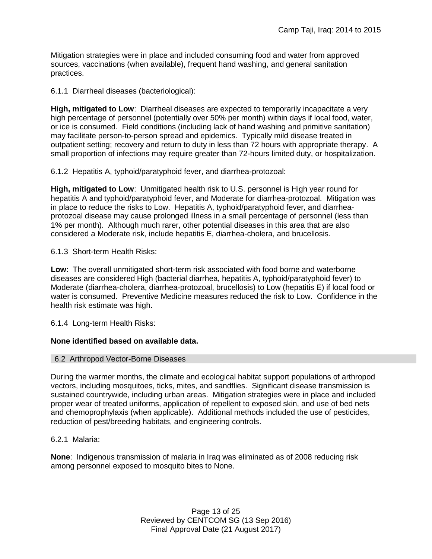Mitigation strategies were in place and included consuming food and water from approved sources, vaccinations (when available), frequent hand washing, and general sanitation practices.

6.1.1 Diarrheal diseases (bacteriological):

**High, mitigated to Low**: Diarrheal diseases are expected to temporarily incapacitate a very high percentage of personnel (potentially over 50% per month) within days if local food, water, or ice is consumed. Field conditions (including lack of hand washing and primitive sanitation) may facilitate person-to-person spread and epidemics. Typically mild disease treated in outpatient setting; recovery and return to duty in less than 72 hours with appropriate therapy. A small proportion of infections may require greater than 72-hours limited duty, or hospitalization.

6.1.2 Hepatitis A, typhoid/paratyphoid fever, and diarrhea-protozoal:

**High, mitigated to Low**: Unmitigated health risk to U.S. personnel is High year round for hepatitis A and typhoid/paratyphoid fever, and Moderate for diarrhea-protozoal. Mitigation was in place to reduce the risks to Low. Hepatitis A, typhoid/paratyphoid fever, and diarrheaprotozoal disease may cause prolonged illness in a small percentage of personnel (less than 1% per month). Although much rarer, other potential diseases in this area that are also considered a Moderate risk, include hepatitis E, diarrhea-cholera, and brucellosis.

6.1.3 Short-term Health Risks:

**Low**: The overall unmitigated short-term risk associated with food borne and waterborne diseases are considered High (bacterial diarrhea, hepatitis A, typhoid/paratyphoid fever) to Moderate (diarrhea-cholera, diarrhea-protozoal, brucellosis) to Low (hepatitis E) if local food or water is consumed. Preventive Medicine measures reduced the risk to Low. Confidence in the health risk estimate was high.

6.1.4 Long-term Health Risks:

### **None identified based on available data.**

### 6.2 Arthropod Vector-Borne Diseases

During the warmer months, the climate and ecological habitat support populations of arthropod vectors, including mosquitoes, ticks, mites, and sandflies. Significant disease transmission is sustained countrywide, including urban areas. Mitigation strategies were in place and included proper wear of treated uniforms, application of repellent to exposed skin, and use of bed nets and chemoprophylaxis (when applicable). Additional methods included the use of pesticides, reduction of pest/breeding habitats, and engineering controls.

### 6.2.1 Malaria:

**None**: Indigenous transmission of malaria in Iraq was eliminated as of 2008 reducing risk among personnel exposed to mosquito bites to None.

> Page 13 of 25 Reviewed by CENTCOM SG (13 Sep 2016) Final Approval Date (21 August 2017)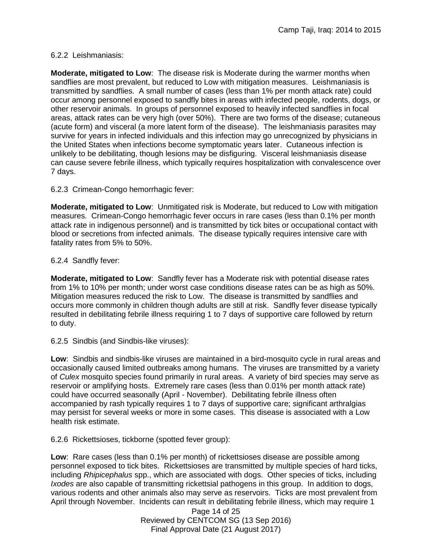### 6.2.2 Leishmaniasis:

**Moderate, mitigated to Low**: The disease risk is Moderate during the warmer months when sandflies are most prevalent, but reduced to Low with mitigation measures. Leishmaniasis is transmitted by sandflies. A small number of cases (less than 1% per month attack rate) could occur among personnel exposed to sandfly bites in areas with infected people, rodents, dogs, or other reservoir animals. In groups of personnel exposed to heavily infected sandflies in focal areas, attack rates can be very high (over 50%). There are two forms of the disease; cutaneous (acute form) and visceral (a more latent form of the disease). The leishmaniasis parasites may survive for years in infected individuals and this infection may go unrecognized by physicians in the United States when infections become symptomatic years later. Cutaneous infection is unlikely to be debilitating, though lesions may be disfiguring. Visceral leishmaniasis disease can cause severe febrile illness, which typically requires hospitalization with convalescence over 7 days.

6.2.3 Crimean-Congo hemorrhagic fever:

**Moderate, mitigated to Low**: Unmitigated risk is Moderate, but reduced to Low with mitigation measures. Crimean-Congo hemorrhagic fever occurs in rare cases (less than 0.1% per month attack rate in indigenous personnel) and is transmitted by tick bites or occupational contact with blood or secretions from infected animals. The disease typically requires intensive care with fatality rates from 5% to 50%.

### 6.2.4 Sandfly fever:

**Moderate, mitigated to Low**: Sandfly fever has a Moderate risk with potential disease rates from 1% to 10% per month; under worst case conditions disease rates can be as high as 50%. Mitigation measures reduced the risk to Low. The disease is transmitted by sandflies and occurs more commonly in children though adults are still at risk. Sandfly fever disease typically resulted in debilitating febrile illness requiring 1 to 7 days of supportive care followed by return to duty.

6.2.5 Sindbis (and Sindbis-like viruses):

**Low**: Sindbis and sindbis-like viruses are maintained in a bird-mosquito cycle in rural areas and occasionally caused limited outbreaks among humans. The viruses are transmitted by a variety of *Culex* mosquito species found primarily in rural areas. A variety of bird species may serve as reservoir or amplifying hosts. Extremely rare cases (less than 0.01% per month attack rate) could have occurred seasonally (April - November). Debilitating febrile illness often accompanied by rash typically requires 1 to 7 days of supportive care; significant arthralgias may persist for several weeks or more in some cases. This disease is associated with a Low health risk estimate.

6.2.6 Rickettsioses, tickborne (spotted fever group):

**Low**: Rare cases (less than 0.1% per month) of rickettsioses disease are possible among personnel exposed to tick bites. Rickettsioses are transmitted by multiple species of hard ticks, including *Rhipicephalus* spp., which are associated with dogs. Other species of ticks, including *Ixodes* are also capable of transmitting rickettsial pathogens in this group. In addition to dogs, various rodents and other animals also may serve as reservoirs. Ticks are most prevalent from April through November. Incidents can result in debilitating febrile illness, which may require 1

> Page 14 of 25 Reviewed by CENTCOM SG (13 Sep 2016) Final Approval Date (21 August 2017)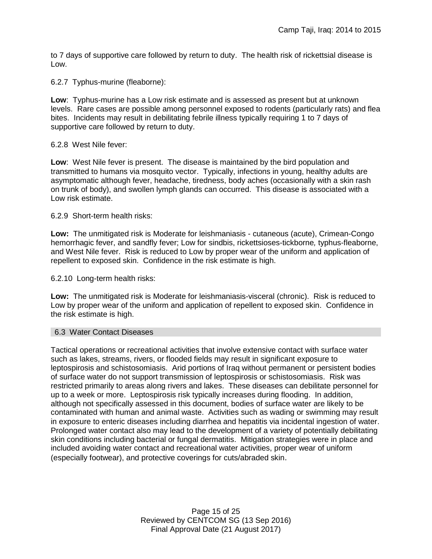to 7 days of supportive care followed by return to duty. The health risk of rickettsial disease is Low.

6.2.7 Typhus-murine (fleaborne):

**Low**: Typhus-murine has a Low risk estimate and is assessed as present but at unknown levels. Rare cases are possible among personnel exposed to rodents (particularly rats) and flea bites. Incidents may result in debilitating febrile illness typically requiring 1 to 7 days of supportive care followed by return to duty.

6.2.8 West Nile fever:

**Low**: West Nile fever is present. The disease is maintained by the bird population and transmitted to humans via mosquito vector. Typically, infections in young, healthy adults are asymptomatic although fever, headache, tiredness, body aches (occasionally with a skin rash on trunk of body), and swollen lymph glands can occurred. This disease is associated with a Low risk estimate.

6.2.9 Short-term health risks:

**Low:** The unmitigated risk is Moderate for leishmaniasis - cutaneous (acute), Crimean-Congo hemorrhagic fever, and sandfly fever; Low for sindbis, rickettsioses-tickborne*,* typhus-fleaborne, and West Nile fever. Risk is reduced to Low by proper wear of the uniform and application of repellent to exposed skin. Confidence in the risk estimate is high.

6.2.10 Long-term health risks:

**Low:** The unmitigated risk is Moderate for leishmaniasis-visceral (chronic). Risk is reduced to Low by proper wear of the uniform and application of repellent to exposed skin. Confidence in the risk estimate is high.

### 6.3 Water Contact Diseases

Tactical operations or recreational activities that involve extensive contact with surface water such as lakes, streams, rivers, or flooded fields may result in significant exposure to leptospirosis and schistosomiasis. Arid portions of Iraq without permanent or persistent bodies of surface water do not support transmission of leptospirosis or schistosomiasis. Risk was restricted primarily to areas along rivers and lakes. These diseases can debilitate personnel for up to a week or more. Leptospirosis risk typically increases during flooding. In addition, although not specifically assessed in this document, bodies of surface water are likely to be contaminated with human and animal waste. Activities such as wading or swimming may result in exposure to enteric diseases including diarrhea and hepatitis via incidental ingestion of water. Prolonged water contact also may lead to the development of a variety of potentially debilitating skin conditions including bacterial or fungal dermatitis. Mitigation strategies were in place and included avoiding water contact and recreational water activities, proper wear of uniform (especially footwear), and protective coverings for cuts/abraded skin.

> Page 15 of 25 Reviewed by CENTCOM SG (13 Sep 2016) Final Approval Date (21 August 2017)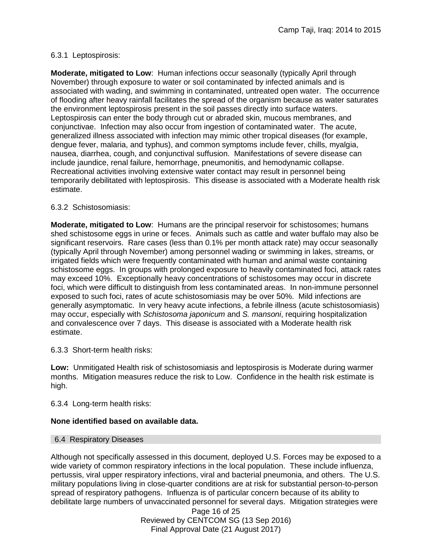### 6.3.1 Leptospirosis:

**Moderate, mitigated to Low**: Human infections occur seasonally (typically April through November) through exposure to water or soil contaminated by infected animals and is associated with wading, and swimming in contaminated, untreated open water. The occurrence of flooding after heavy rainfall facilitates the spread of the organism because as water saturates the environment leptospirosis present in the soil passes directly into surface waters. Leptospirosis can enter the body through cut or abraded skin, mucous membranes, and conjunctivae. Infection may also occur from ingestion of contaminated water. The acute, generalized illness associated with infection may mimic other tropical diseases (for example, dengue fever, malaria, and typhus), and common symptoms include fever, chills, myalgia, nausea, diarrhea, cough, and conjunctival suffusion. Manifestations of severe disease can include jaundice, renal failure, hemorrhage, pneumonitis, and hemodynamic collapse. Recreational activities involving extensive water contact may result in personnel being temporarily debilitated with leptospirosis. This disease is associated with a Moderate health risk estimate.

### 6.3.2 Schistosomiasis:

**Moderate, mitigated to Low**: Humans are the principal reservoir for schistosomes; humans shed schistosome eggs in urine or feces. Animals such as cattle and water buffalo may also be significant reservoirs. Rare cases (less than 0.1% per month attack rate) may occur seasonally (typically April through November) among personnel wading or swimming in lakes, streams, or irrigated fields which were frequently contaminated with human and animal waste containing schistosome eggs. In groups with prolonged exposure to heavily contaminated foci, attack rates may exceed 10%. Exceptionally heavy concentrations of schistosomes may occur in discrete foci, which were difficult to distinguish from less contaminated areas. In non-immune personnel exposed to such foci, rates of acute schistosomiasis may be over 50%. Mild infections are generally asymptomatic. In very heavy acute infections, a febrile illness (acute schistosomiasis) may occur, especially with *Schistosoma japonicum* and *S. mansoni*, requiring hospitalization and convalescence over 7 days. This disease is associated with a Moderate health risk estimate.

6.3.3 Short-term health risks:

**Low:** Unmitigated Health risk of schistosomiasis and leptospirosis is Moderate during warmer months. Mitigation measures reduce the risk to Low. Confidence in the health risk estimate is high.

6.3.4 Long-term health risks:

### **None identified based on available data.**

### 6.4 Respiratory Diseases

Although not specifically assessed in this document, deployed U.S. Forces may be exposed to a wide variety of common respiratory infections in the local population. These include influenza, pertussis, viral upper respiratory infections, viral and bacterial pneumonia, and others. The U.S. military populations living in close-quarter conditions are at risk for substantial person-to-person spread of respiratory pathogens. Influenza is of particular concern because of its ability to debilitate large numbers of unvaccinated personnel for several days. Mitigation strategies were

> Page 16 of 25 Reviewed by CENTCOM SG (13 Sep 2016) Final Approval Date (21 August 2017)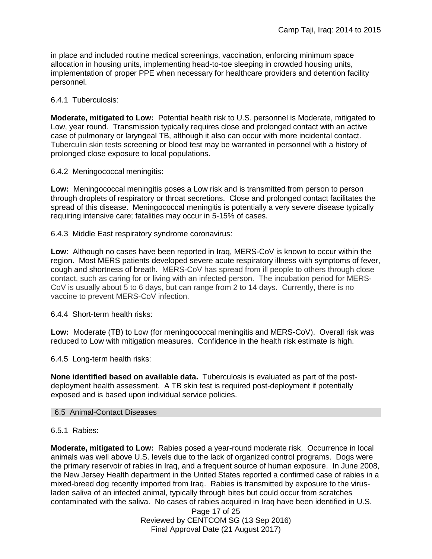in place and included routine medical screenings, vaccination, enforcing minimum space allocation in housing units, implementing head-to-toe sleeping in crowded housing units, implementation of proper PPE when necessary for healthcare providers and detention facility personnel.

### 6.4.1 Tuberculosis:

**Moderate, mitigated to Low:** Potential health risk to U.S. personnel is Moderate, mitigated to Low, year round. Transmission typically requires close and prolonged contact with an active case of pulmonary or laryngeal TB, although it also can occur with more incidental contact. Tuberculin skin tests screening or blood test may be warranted in personnel with a history of prolonged close exposure to local populations.

### 6.4.2 Meningococcal meningitis:

**Low:** Meningococcal meningitis poses a Low risk and is transmitted from person to person through droplets of respiratory or throat secretions. Close and prolonged contact facilitates the spread of this disease. Meningococcal meningitis is potentially a very severe disease typically requiring intensive care; fatalities may occur in 5-15% of cases.

6.4.3 Middle East respiratory syndrome coronavirus:

**Low**: Although no cases have been reported in Iraq, MERS-CoV is known to occur within the region. Most MERS patients developed severe acute respiratory illness with symptoms of fever, cough and shortness of breath. MERS-CoV has spread from ill people to others through close contact, such as caring for or living with an infected person. The incubation period for MERS-CoV is usually about 5 to 6 days, but can range from 2 to 14 days. Currently, there is no vaccine to prevent MERS-CoV infection.

6.4.4 Short-term health risks:

**Low:** Moderate (TB) to Low (for meningococcal meningitis and MERS-CoV). Overall risk was reduced to Low with mitigation measures. Confidence in the health risk estimate is high.

6.4.5 Long-term health risks:

**None identified based on available data.** Tuberculosis is evaluated as part of the postdeployment health assessment. A TB skin test is required post-deployment if potentially exposed and is based upon individual service policies.

### 6.5 Animal-Contact Diseases

### 6.5.1 Rabies:

**Moderate, mitigated to Low:** Rabies posed a year-round moderate risk. Occurrence in local animals was well above U.S. levels due to the lack of organized control programs. Dogs were the primary reservoir of rabies in Iraq, and a frequent source of human exposure. In June 2008, the New Jersey Health department in the United States reported a confirmed case of rabies in a mixed-breed dog recently imported from Iraq. Rabies is transmitted by exposure to the virusladen saliva of an infected animal, typically through bites but could occur from scratches contaminated with the saliva. No cases of rabies acquired in Iraq have been identified in U.S.

> Page 17 of 25 Reviewed by CENTCOM SG (13 Sep 2016) Final Approval Date (21 August 2017)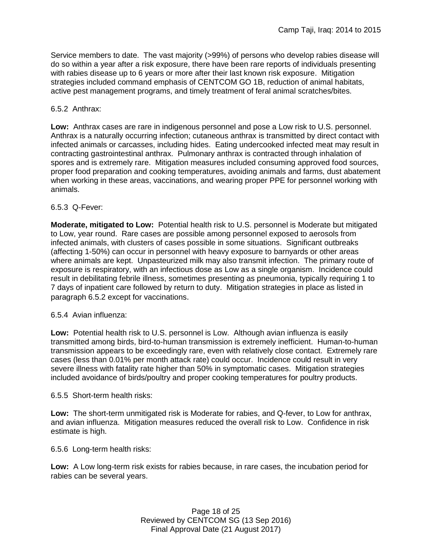Service members to date. The vast majority (>99%) of persons who develop rabies disease will do so within a year after a risk exposure, there have been rare reports of individuals presenting with rabies disease up to 6 years or more after their last known risk exposure. Mitigation strategies included command emphasis of CENTCOM GO 1B, reduction of animal habitats, active pest management programs, and timely treatment of feral animal scratches/bites.

### 6.5.2 Anthrax:

**Low:** Anthrax cases are rare in indigenous personnel and pose a Low risk to U.S. personnel. Anthrax is a naturally occurring infection; cutaneous anthrax is transmitted by direct contact with infected animals or carcasses, including hides. Eating undercooked infected meat may result in contracting gastrointestinal anthrax. Pulmonary anthrax is contracted through inhalation of spores and is extremely rare. Mitigation measures included consuming approved food sources, proper food preparation and cooking temperatures, avoiding animals and farms, dust abatement when working in these areas, vaccinations, and wearing proper PPE for personnel working with animals.

### 6.5.3 Q-Fever:

**Moderate, mitigated to Low:** Potential health risk to U.S. personnel is Moderate but mitigated to Low, year round. Rare cases are possible among personnel exposed to aerosols from infected animals, with clusters of cases possible in some situations. Significant outbreaks (affecting 1-50%) can occur in personnel with heavy exposure to barnyards or other areas where animals are kept. Unpasteurized milk may also transmit infection. The primary route of exposure is respiratory, with an infectious dose as Low as a single organism. Incidence could result in debilitating febrile illness, sometimes presenting as pneumonia, typically requiring 1 to 7 days of inpatient care followed by return to duty. Mitigation strategies in place as listed in paragraph 6.5.2 except for vaccinations.

### 6.5.4 Avian influenza:

**Low:** Potential health risk to U.S. personnel is Low. Although avian influenza is easily transmitted among birds, bird-to-human transmission is extremely inefficient. Human-to-human transmission appears to be exceedingly rare, even with relatively close contact. Extremely rare cases (less than 0.01% per month attack rate) could occur. Incidence could result in very severe illness with fatality rate higher than 50% in symptomatic cases. Mitigation strategies included avoidance of birds/poultry and proper cooking temperatures for poultry products.

### 6.5.5 Short-term health risks:

**Low:** The short-term unmitigated risk is Moderate for rabies, and Q-fever, to Low for anthrax, and avian influenza. Mitigation measures reduced the overall risk to Low. Confidence in risk estimate is high.

6.5.6 Long-term health risks:

**Low:** A Low long-term risk exists for rabies because, in rare cases, the incubation period for rabies can be several years.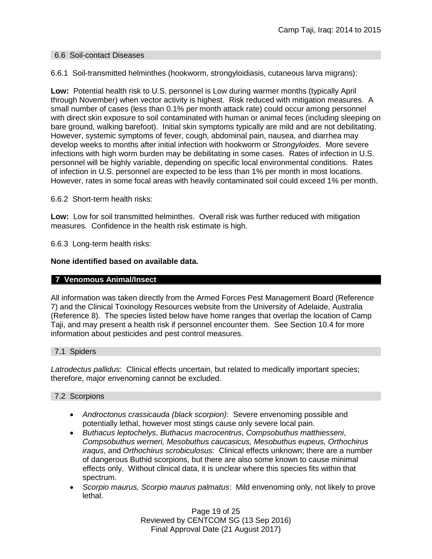### 6.6 Soil-contact Diseases

6.6.1 Soil-transmitted helminthes (hookworm, strongyloidiasis, cutaneous larva migrans):

**Low:** Potential health risk to U.S. personnel is Low during warmer months (typically April through November) when vector activity is highest. Risk reduced with mitigation measures. A small number of cases (less than 0.1% per month attack rate) could occur among personnel with direct skin exposure to soil contaminated with human or animal feces (including sleeping on bare ground, walking barefoot). Initial skin symptoms typically are mild and are not debilitating. However, systemic symptoms of fever, cough, abdominal pain, nausea, and diarrhea may develop weeks to months after initial infection with hookworm or *Strongyloides*. More severe infections with high worm burden may be debilitating in some cases. Rates of infection in U.S. personnel will be highly variable, depending on specific local environmental conditions. Rates of infection in U.S. personnel are expected to be less than 1% per month in most locations. However, rates in some focal areas with heavily contaminated soil could exceed 1% per month.

6.6.2 Short-term health risks:

**Low:** Low for soil transmitted helminthes. Overall risk was further reduced with mitigation measures. Confidence in the health risk estimate is high.

6.6.3 Long-term health risks:

### **None identified based on available data.**

#### **7 Venomous Animal/Insect**

All information was taken directly from the Armed Forces Pest Management Board (Reference 7) and the Clinical Toxinology Resources website from the University of Adelaide, Australia (Reference 8). The species listed below have home ranges that overlap the location of Camp Taji, and may present a health risk if personnel encounter them. See Section 10.4 for more information about pesticides and pest control measures.

### 7.1 Spiders

*Latrodectus pallidus*: Clinical effects uncertain, but related to medically important species; therefore, major envenoming cannot be excluded.

### 7.2 Scorpions

- *Androctonus crassicauda (black scorpion)*:Severe envenoming possible and potentially lethal, however most stings cause only severe local pain.
- *Buthacus leptochelys*, *Buthacus macrocentrus*, *Compsobuthus matthiesseni*, *Compsobuthus werneri, Mesobuthus caucasicus, Mesobuthus eupeus, Orthochirus iraqus*, and *Orthochirus scrobiculosus*: Clinical effects unknown; there are a number of dangerous Buthid scorpions, but there are also some known to cause minimal effects only. Without clinical data, it is unclear where this species fits within that spectrum.
- *Scorpio maurus, Scorpio maurus palmatus*: Mild envenoming only, not likely to prove lethal.

Page 19 of 25 Reviewed by CENTCOM SG (13 Sep 2016) Final Approval Date (21 August 2017)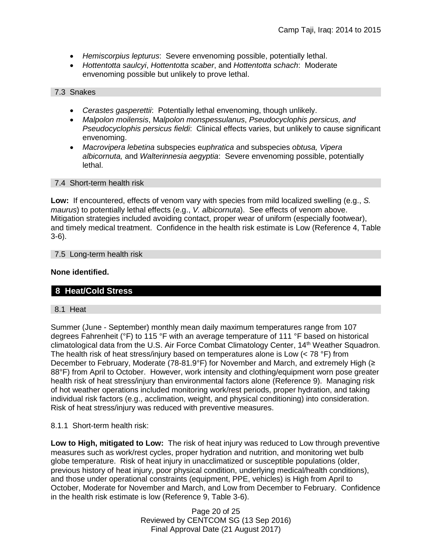- *Hemiscorpius lepturus*: Severe envenoming possible, potentially lethal.
- *Hottentotta saulcyi*, *Hottentotta scaber*, and *Hottentotta schach*: Moderate envenoming possible but unlikely to prove lethal.

7.3 Snakes

- *Cerastes gasperettii*: Potentially lethal envenoming, though unlikely.
- *Malpolon moilensis*, M*alpolon monspessulanus*, *Pseudocyclophis persicus, and Pseudocyclophis persicus fieldi*: Clinical effects varies, but unlikely to cause significant envenoming.
- *Macrovipera lebetina* subspecies e*uphratica* and subspecies *obtusa, Vipera albicornuta,* and *Walterinnesia aegyptia*: Severe envenoming possible, potentially lethal.

### 7.4 Short-term health risk

**Low:** If encountered, effects of venom vary with species from mild localized swelling (e.g., *S. maurus*) to potentially lethal effects (e.g., *V. albicornuta*). See effects of venom above. Mitigation strategies included avoiding contact, proper wear of uniform (especially footwear), and timely medical treatment. Confidence in the health risk estimate is Low (Reference 4, Table 3-6).

### 7.5 Long-term health risk

### **None identified.**

# **8 Heat/Cold Stress**

### 8.1 Heat

Summer (June - September) monthly mean daily maximum temperatures range from 107 degrees Fahrenheit (°F) to 115 °F with an average temperature of 111 °F based on historical climatological data from the U.S. Air Force Combat Climatology Center, 14<sup>th</sup> Weather Squadron. The health risk of heat stress/injury based on temperatures alone is Low  $(< 78 \degree F)$  from December to February, Moderate (78-81.9°F) for November and March, and extremely High (≥ 88°F) from April to October. However, work intensity and clothing/equipment worn pose greater health risk of heat stress/injury than environmental factors alone (Reference 9). Managing risk of hot weather operations included monitoring work/rest periods, proper hydration, and taking individual risk factors (e.g., acclimation, weight, and physical conditioning) into consideration. Risk of heat stress/injury was reduced with preventive measures.

### 8.1.1 Short-term health risk:

**Low to High, mitigated to Low:** The risk of heat injury was reduced to Low through preventive measures such as work/rest cycles, proper hydration and nutrition, and monitoring wet bulb globe temperature. Risk of heat injury in unacclimatized or susceptible populations (older, previous history of heat injury, poor physical condition, underlying medical/health conditions), and those under operational constraints (equipment, PPE, vehicles) is High from April to October, Moderate for November and March, and Low from December to February. Confidence in the health risk estimate is low (Reference 9, Table 3-6).

> Page 20 of 25 Reviewed by CENTCOM SG (13 Sep 2016) Final Approval Date (21 August 2017)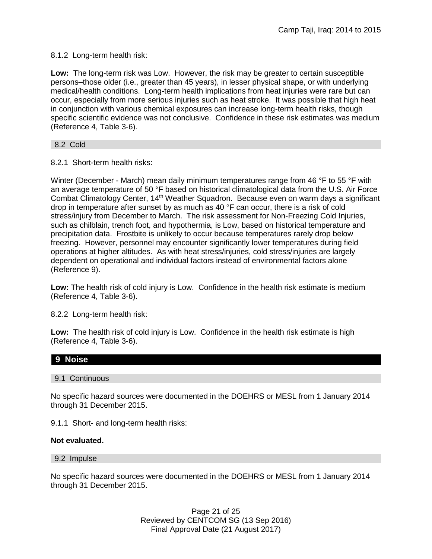8.1.2 Long-term health risk:

**Low:** The long-term risk was Low. However, the risk may be greater to certain susceptible persons–those older (i.e., greater than 45 years), in lesser physical shape, or with underlying medical/health conditions. Long-term health implications from heat injuries were rare but can occur, especially from more serious injuries such as heat stroke. It was possible that high heat in conjunction with various chemical exposures can increase long-term health risks, though specific scientific evidence was not conclusive. Confidence in these risk estimates was medium (Reference 4, Table 3-6).

8.2 Cold

8.2.1 Short-term health risks:

Winter (December - March) mean daily minimum temperatures range from 46 °F to 55 °F with an average temperature of 50 °F based on historical climatological data from the U.S. Air Force Combat Climatology Center, 14<sup>th</sup> Weather Squadron. Because even on warm days a significant drop in temperature after sunset by as much as 40 °F can occur, there is a risk of cold stress/injury from December to March. The risk assessment for Non-Freezing Cold Injuries, such as chilblain, trench foot, and hypothermia, is Low, based on historical temperature and precipitation data. Frostbite is unlikely to occur because temperatures rarely drop below freezing. However, personnel may encounter significantly lower temperatures during field operations at higher altitudes. As with heat stress/injuries, cold stress/injuries are largely dependent on operational and individual factors instead of environmental factors alone (Reference 9).

**Low:** The health risk of cold injury is Low. Confidence in the health risk estimate is medium (Reference 4, Table 3-6).

8.2.2 Long-term health risk:

**Low:** The health risk of cold injury is Low. Confidence in the health risk estimate is high (Reference 4, Table 3-6).

# **9 Noise**

### 9.1 Continuous

No specific hazard sources were documented in the DOEHRS or MESL from 1 January 2014 through 31 December 2015.

9.1.1 Short- and long-term health risks:

### **Not evaluated.**

9.2 Impulse

No specific hazard sources were documented in the DOEHRS or MESL from 1 January 2014 through 31 December 2015.

> Page 21 of 25 Reviewed by CENTCOM SG (13 Sep 2016) Final Approval Date (21 August 2017)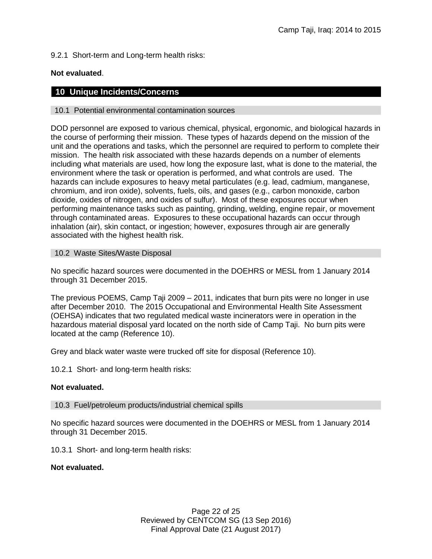9.2.1 Short-term and Long-term health risks:

### **Not evaluated**.

### **10 Unique Incidents/Concerns**

### 10.1 Potential environmental contamination sources

DOD personnel are exposed to various chemical, physical, ergonomic, and biological hazards in the course of performing their mission. These types of hazards depend on the mission of the unit and the operations and tasks, which the personnel are required to perform to complete their mission. The health risk associated with these hazards depends on a number of elements including what materials are used, how long the exposure last, what is done to the material, the environment where the task or operation is performed, and what controls are used. The hazards can include exposures to heavy metal particulates (e.g. lead, cadmium, manganese, chromium, and iron oxide), solvents, fuels, oils, and gases (e.g., carbon monoxide, carbon dioxide, oxides of nitrogen, and oxides of sulfur). Most of these exposures occur when performing maintenance tasks such as painting, grinding, welding, engine repair, or movement through contaminated areas. Exposures to these occupational hazards can occur through inhalation (air), skin contact, or ingestion; however, exposures through air are generally associated with the highest health risk.

### 10.2 Waste Sites/Waste Disposal

No specific hazard sources were documented in the DOEHRS or MESL from 1 January 2014 through 31 December 2015.

The previous POEMS, Camp Taji 2009 – 2011, indicates that burn pits were no longer in use after December 2010. The 2015 Occupational and Environmental Health Site Assessment (OEHSA) indicates that two regulated medical waste incinerators were in operation in the hazardous material disposal yard located on the north side of Camp Taji. No burn pits were located at the camp (Reference 10).

Grey and black water waste were trucked off site for disposal (Reference 10).

10.2.1 Short- and long-term health risks:

### **Not evaluated.**

### 10.3 Fuel/petroleum products/industrial chemical spills

No specific hazard sources were documented in the DOEHRS or MESL from 1 January 2014 through 31 December 2015.

10.3.1 Short- and long-term health risks:

### **Not evaluated.**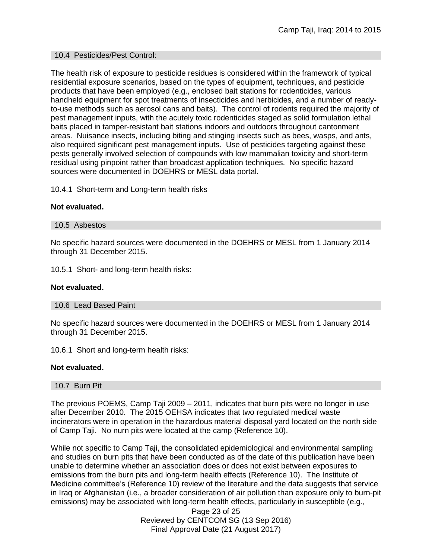### 10.4 Pesticides/Pest Control:

The health risk of exposure to pesticide residues is considered within the framework of typical residential exposure scenarios, based on the types of equipment, techniques, and pesticide products that have been employed (e.g., enclosed bait stations for rodenticides, various handheld equipment for spot treatments of insecticides and herbicides, and a number of readyto-use methods such as aerosol cans and baits). The control of rodents required the majority of pest management inputs, with the acutely toxic rodenticides staged as solid formulation lethal baits placed in tamper-resistant bait stations indoors and outdoors throughout cantonment areas. Nuisance insects, including biting and stinging insects such as bees, wasps, and ants, also required significant pest management inputs. Use of pesticides targeting against these pests generally involved selection of compounds with low mammalian toxicity and short-term residual using pinpoint rather than broadcast application techniques. No specific hazard sources were documented in DOEHRS or MESL data portal.

10.4.1 Short-term and Long-term health risks

### **Not evaluated.**

### 10.5 Asbestos

No specific hazard sources were documented in the DOEHRS or MESL from 1 January 2014 through 31 December 2015.

10.5.1 Short- and long-term health risks:

### **Not evaluated.**

### 10.6 Lead Based Paint

No specific hazard sources were documented in the DOEHRS or MESL from 1 January 2014 through 31 December 2015.

10.6.1 Short and long-term health risks:

### **Not evaluated.**

### 10.7 Burn Pit

The previous POEMS, Camp Taji 2009 – 2011, indicates that burn pits were no longer in use after December 2010. The 2015 OEHSA indicates that two regulated medical waste incinerators were in operation in the hazardous material disposal yard located on the north side of Camp Taji. No nurn pits were located at the camp (Reference 10).

While not specific to Camp Taji, the consolidated epidemiological and environmental sampling and studies on burn pits that have been conducted as of the date of this publication have been unable to determine whether an association does or does not exist between exposures to emissions from the burn pits and long-term health effects (Reference 10). The Institute of Medicine committee's (Reference 10) review of the literature and the data suggests that service in Iraq or Afghanistan (i.e., a broader consideration of air pollution than exposure only to burn-pit emissions) may be associated with long-term health effects, particularly in susceptible (e.g.,

> Page 23 of 25 Reviewed by CENTCOM SG (13 Sep 2016) Final Approval Date (21 August 2017)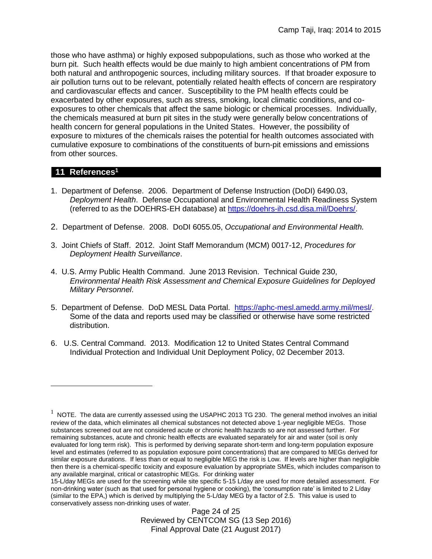those who have asthma) or highly exposed subpopulations, such as those who worked at the burn pit. Such health effects would be due mainly to high ambient concentrations of PM from both natural and anthropogenic sources, including military sources. If that broader exposure to air pollution turns out to be relevant, potentially related health effects of concern are respiratory and cardiovascular effects and cancer. Susceptibility to the PM health effects could be exacerbated by other exposures, such as stress, smoking, local climatic conditions, and coexposures to other chemicals that affect the same biologic or chemical processes. Individually, the chemicals measured at burn pit sites in the study were generally below concentrations of health concern for general populations in the United States. However, the possibility of exposure to mixtures of the chemicals raises the potential for health outcomes associated with cumulative exposure to combinations of the constituents of burn-pit emissions and emissions from other sources.

# **11 References<sup>1</sup>**

 $\overline{a}$ 

- 1. Department of Defense. 2006. Department of Defense Instruction (DoDI) 6490.03, *Deployment Health*. Defense Occupational and Environmental Health Readiness System (referred to as the DOEHRS-EH database) at [https://doehrs-ih.csd.disa.mil/Doehrs/.](https://doehrs-ih.csd.disa.mil/Doehrs/)
- 2. Department of Defense. 2008. DoDI 6055.05, *Occupational and Environmental Health.*
- 3. Joint Chiefs of Staff. 2012. Joint Staff Memorandum (MCM) 0017-12, *Procedures for Deployment Health Surveillance*.
- 4. U.S. Army Public Health Command. June 2013 Revision. Technical Guide 230, *Environmental Health Risk Assessment and Chemical Exposure Guidelines for Deployed Military Personnel*.
- 5. Department of Defense. DoD MESL Data Portal. [https://aphc-mesl.amedd.army.mil/mesl/.](https://aphc-mesl.amedd.army.mil/mesl/) Some of the data and reports used may be classified or otherwise have some restricted distribution.
- 6. U.S. Central Command. 2013. Modification 12 to United States Central Command Individual Protection and Individual Unit Deployment Policy, 02 December 2013.

Page 24 of 25 Reviewed by CENTCOM SG (13 Sep 2016) Final Approval Date (21 August 2017)

 $1$  NOTE. The data are currently assessed using the USAPHC 2013 TG 230. The general method involves an initial review of the data, which eliminates all chemical substances not detected above 1-year negligible MEGs. Those substances screened out are not considered acute or chronic health hazards so are not assessed further. For remaining substances, acute and chronic health effects are evaluated separately for air and water (soil is only evaluated for long term risk). This is performed by deriving separate short-term and long-term population exposure level and estimates (referred to as population exposure point concentrations) that are compared to MEGs derived for similar exposure durations. If less than or equal to negligible MEG the risk is Low. If levels are higher than negligible then there is a chemical-specific toxicity and exposure evaluation by appropriate SMEs, which includes comparison to any available marginal, critical or catastrophic MEGs. For drinking water

<sup>15-</sup>L/day MEGs are used for the screening while site specific 5-15 L/day are used for more detailed assessment. For non-drinking water (such as that used for personal hygiene or cooking), the 'consumption rate' is limited to 2 L/day (similar to the EPA,) which is derived by multiplying the 5-L/day MEG by a factor of 2.5. This value is used to conservatively assess non-drinking uses of water.